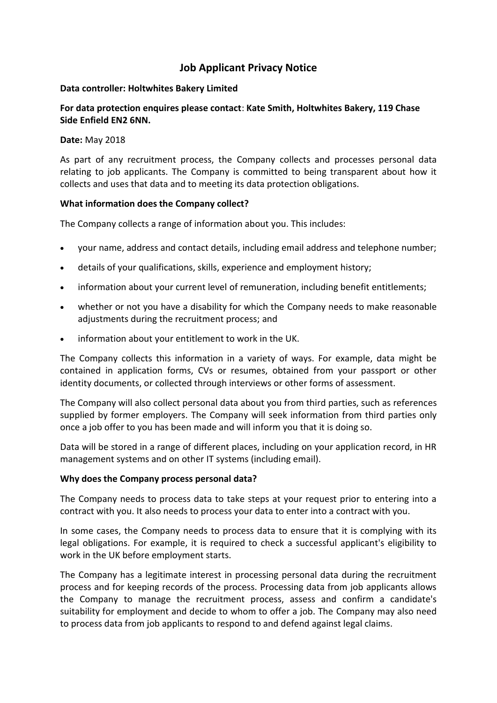# **Job Applicant Privacy Notice**

## **Data controller: Holtwhites Bakery Limited**

## **For data protection enquires please contact**: **Kate Smith, Holtwhites Bakery, 119 Chase Side Enfield EN2 6NN.**

## **Date:** May 2018

As part of any recruitment process, the Company collects and processes personal data relating to job applicants. The Company is committed to being transparent about how it collects and uses that data and to meeting its data protection obligations.

## **What information does the Company collect?**

The Company collects a range of information about you. This includes:

- your name, address and contact details, including email address and telephone number;
- details of your qualifications, skills, experience and employment history;
- information about your current level of remuneration, including benefit entitlements;
- whether or not you have a disability for which the Company needs to make reasonable adjustments during the recruitment process; and
- information about your entitlement to work in the UK.

The Company collects this information in a variety of ways. For example, data might be contained in application forms, CVs or resumes, obtained from your passport or other identity documents, or collected through interviews or other forms of assessment.

The Company will also collect personal data about you from third parties, such as references supplied by former employers. The Company will seek information from third parties only once a job offer to you has been made and will inform you that it is doing so.

Data will be stored in a range of different places, including on your application record, in HR management systems and on other IT systems (including email).

# **Why does the Company process personal data?**

The Company needs to process data to take steps at your request prior to entering into a contract with you. It also needs to process your data to enter into a contract with you.

In some cases, the Company needs to process data to ensure that it is complying with its legal obligations. For example, it is required to check a successful applicant's eligibility to work in the UK before employment starts.

The Company has a legitimate interest in processing personal data during the recruitment process and for keeping records of the process. Processing data from job applicants allows the Company to manage the recruitment process, assess and confirm a candidate's suitability for employment and decide to whom to offer a job. The Company may also need to process data from job applicants to respond to and defend against legal claims.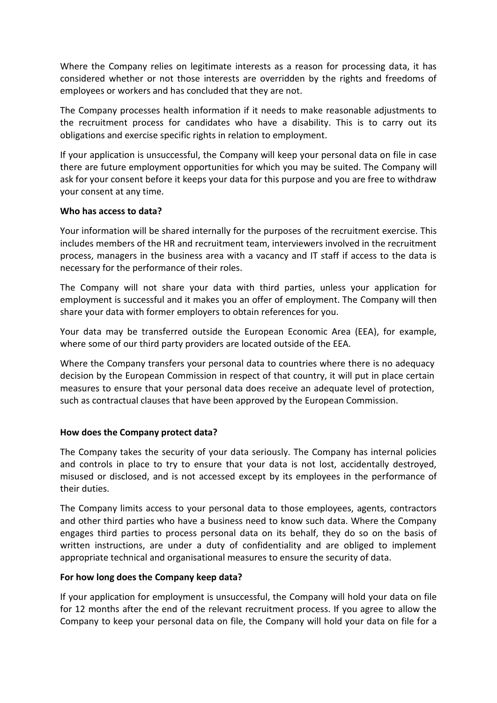Where the Company relies on legitimate interests as a reason for processing data, it has considered whether or not those interests are overridden by the rights and freedoms of employees or workers and has concluded that they are not.

The Company processes health information if it needs to make reasonable adjustments to the recruitment process for candidates who have a disability. This is to carry out its obligations and exercise specific rights in relation to employment.

If your application is unsuccessful, the Company will keep your personal data on file in case there are future employment opportunities for which you may be suited. The Company will ask for your consent before it keeps your data for this purpose and you are free to withdraw your consent at any time.

## **Who has access to data?**

Your information will be shared internally for the purposes of the recruitment exercise. This includes members of the HR and recruitment team, interviewers involved in the recruitment process, managers in the business area with a vacancy and IT staff if access to the data is necessary for the performance of their roles.

The Company will not share your data with third parties, unless your application for employment is successful and it makes you an offer of employment. The Company will then share your data with former employers to obtain references for you.

Your data may be transferred outside the European Economic Area (EEA), for example, where some of our third party providers are located outside of the EEA.

Where the Company transfers your personal data to countries where there is no adequacy decision by the European Commission in respect of that country, it will put in place certain measures to ensure that your personal data does receive an adequate level of protection, such as contractual clauses that have been approved by the European Commission.

# **How does the Company protect data?**

The Company takes the security of your data seriously. The Company has internal policies and controls in place to try to ensure that your data is not lost, accidentally destroyed, misused or disclosed, and is not accessed except by its employees in the performance of their duties.

The Company limits access to your personal data to those employees, agents, contractors and other third parties who have a business need to know such data. Where the Company engages third parties to process personal data on its behalf, they do so on the basis of written instructions, are under a duty of confidentiality and are obliged to implement appropriate technical and organisational measures to ensure the security of data.

#### **For how long does the Company keep data?**

If your application for employment is unsuccessful, the Company will hold your data on file for 12 months after the end of the relevant recruitment process. If you agree to allow the Company to keep your personal data on file, the Company will hold your data on file for a